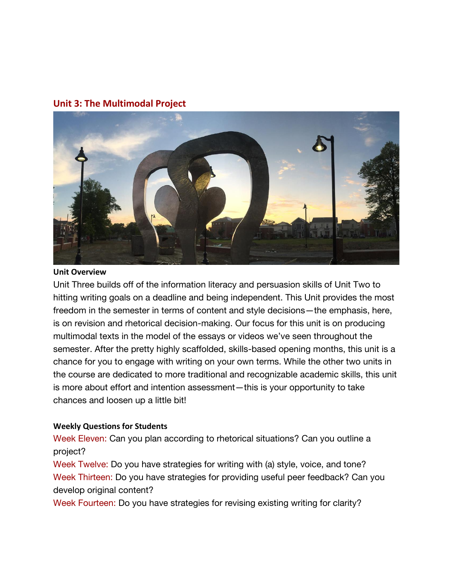## **Unit 3: The Multimodal Project**



#### **Unit Overview**

Unit Three builds off of the information literacy and persuasion skills of Unit Two to hitting writing goals on a deadline and being independent. This Unit provides the most freedom in the semester in terms of content and style decisions—the emphasis, here, is on revision and rhetorical decision-making. Our focus for this unit is on producing multimodal texts in the model of the essays or videos we've seen throughout the semester. After the pretty highly scaffolded, skills-based opening months, this unit is a chance for you to engage with writing on your own terms. While the other two units in the course are dedicated to more traditional and recognizable academic skills, this unit is more about effort and intention assessment—this is your opportunity to take chances and loosen up a little bit!

#### **Weekly Questions for Students**

Week Eleven: Can you plan according to rhetorical situations? Can you outline a project?

Week Twelve: Do you have strategies for writing with (a) style, voice, and tone? Week Thirteen: Do you have strategies for providing useful peer feedback? Can you develop original content?

Week Fourteen: Do you have strategies for revising existing writing for clarity?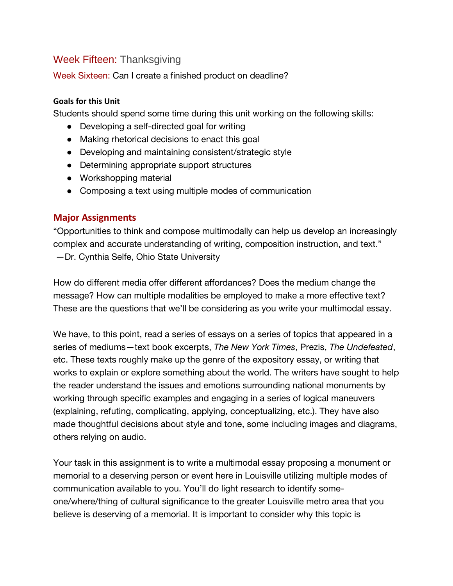# Week Fifteen: Thanksgiving

Week Sixteen: Can I create a finished product on deadline?

## **Goals for this Unit**

Students should spend some time during this unit working on the following skills:

- Developing a self-directed goal for writing
- Making rhetorical decisions to enact this goal
- Developing and maintaining consistent/strategic style
- Determining appropriate support structures
- Workshopping material
- Composing a text using multiple modes of communication

## **Major Assignments**

"Opportunities to think and compose multimodally can help us develop an increasingly complex and accurate understanding of writing, composition instruction, and text." —Dr. Cynthia Selfe, Ohio State University

How do different media offer different affordances? Does the medium change the message? How can multiple modalities be employed to make a more effective text? These are the questions that we'll be considering as you write your multimodal essay.

We have, to this point, read a series of essays on a series of topics that appeared in a series of mediums—text book excerpts, *The New York Times*, Prezis, *The Undefeated*, etc. These texts roughly make up the genre of the expository essay, or writing that works to explain or explore something about the world. The writers have sought to help the reader understand the issues and emotions surrounding national monuments by working through specific examples and engaging in a series of logical maneuvers (explaining, refuting, complicating, applying, conceptualizing, etc.). They have also made thoughtful decisions about style and tone, some including images and diagrams, others relying on audio.

Your task in this assignment is to write a multimodal essay proposing a monument or memorial to a deserving person or event here in Louisville utilizing multiple modes of communication available to you. You'll do light research to identify someone/where/thing of cultural significance to the greater Louisville metro area that you believe is deserving of a memorial. It is important to consider why this topic is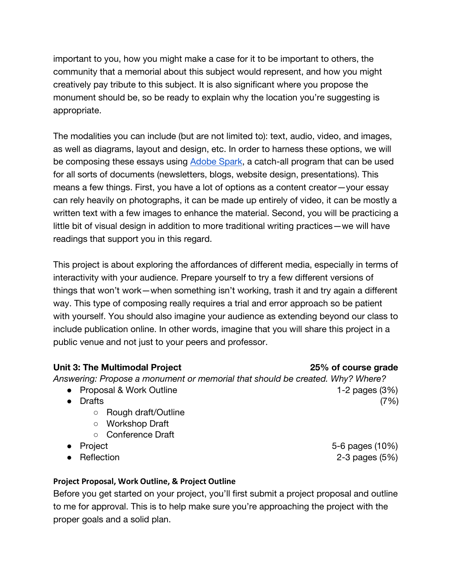important to you, how you might make a case for it to be important to others, the community that a memorial about this subject would represent, and how you might creatively pay tribute to this subject. It is also significant where you propose the monument should be, so be ready to explain why the location you're suggesting is appropriate.

The modalities you can include (but are not limited to): text, audio, video, and images, as well as diagrams, layout and design, etc. In order to harness these options, we will be composing these essays using [Adobe Spark,](https://spark.adobe.com/?sdid=65FN7X27&mv=search&ef_id=Cj0KCQjwxNT8BRD9ARIsAJ8S5xbCIwYcMzPckXeJsq7CsTWD0C3SihQ6Hl02KCuDF63g7BIo0u0eX4gaAnyTEALw_wcB:G:s&s_kwcid=AL!3085!3!375251028368!b!!g!!adobe%20spark!1059105569!54866975714&gclid=Cj0KCQjwxNT8BRD9ARIsAJ8S5xbCIwYcMzPckXeJsq7CsTWD0C3SihQ6Hl02KCuDF63g7BIo0u0eX4gaAnyTEALw_wcB) a catch-all program that can be used for all sorts of documents (newsletters, blogs, website design, presentations). This means a few things. First, you have a lot of options as a content creator—your essay can rely heavily on photographs, it can be made up entirely of video, it can be mostly a written text with a few images to enhance the material. Second, you will be practicing a little bit of visual design in addition to more traditional writing practices—we will have readings that support you in this regard.

This project is about exploring the affordances of different media, especially in terms of interactivity with your audience. Prepare yourself to try a few different versions of things that won't work—when something isn't working, trash it and try again a different way. This type of composing really requires a trial and error approach so be patient with yourself. You should also imagine your audience as extending beyond our class to include publication online. In other words, imagine that you will share this project in a public venue and not just to your peers and professor.

## **Unit 3: The Multimodal Project 25% of course grade**

*Answering: Propose a monument or memorial that should be created. Why? Where?* 

- Proposal & Work Outline 1-2 pages (3%)
- Drafts  $(7%)$ 
	- Rough draft/Outline
	- Workshop Draft
	- Conference Draft
- Project 5-6 pages (10%)
- Reflection 2-3 pages (5%)

## **Project Proposal, Work Outline, & Project Outline**

Before you get started on your project, you'll first submit a project proposal and outline to me for approval. This is to help make sure you're approaching the project with the proper goals and a solid plan.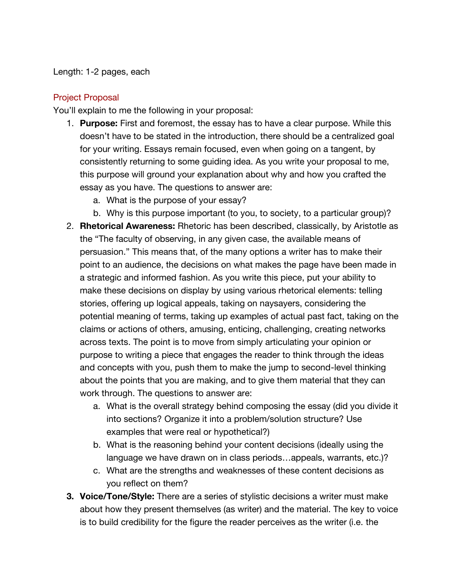### Length: 1-2 pages, each

## Project Proposal

You'll explain to me the following in your proposal:

- 1. **Purpose:** First and foremost, the essay has to have a clear purpose. While this doesn't have to be stated in the introduction, there should be a centralized goal for your writing. Essays remain focused, even when going on a tangent, by consistently returning to some guiding idea. As you write your proposal to me, this purpose will ground your explanation about why and how you crafted the essay as you have. The questions to answer are:
	- a. What is the purpose of your essay?
	- b. Why is this purpose important (to you, to society, to a particular group)?
- 2. **Rhetorical Awareness:** Rhetoric has been described, classically, by Aristotle as the "The faculty of observing, in any given case, the available means of persuasion." This means that, of the many options a writer has to make their point to an audience, the decisions on what makes the page have been made in a strategic and informed fashion. As you write this piece, put your ability to make these decisions on display by using various rhetorical elements: telling stories, offering up logical appeals, taking on naysayers, considering the potential meaning of terms, taking up examples of actual past fact, taking on the claims or actions of others, amusing, enticing, challenging, creating networks across texts. The point is to move from simply articulating your opinion or purpose to writing a piece that engages the reader to think through the ideas and concepts with you, push them to make the jump to second-level thinking about the points that you are making, and to give them material that they can work through. The questions to answer are:
	- a. What is the overall strategy behind composing the essay (did you divide it into sections? Organize it into a problem/solution structure? Use examples that were real or hypothetical?)
	- b. What is the reasoning behind your content decisions (ideally using the language we have drawn on in class periods…appeals, warrants, etc.)?
	- c. What are the strengths and weaknesses of these content decisions as you reflect on them?
- **3. Voice/Tone/Style:** There are a series of stylistic decisions a writer must make about how they present themselves (as writer) and the material. The key to voice is to build credibility for the figure the reader perceives as the writer (i.e. the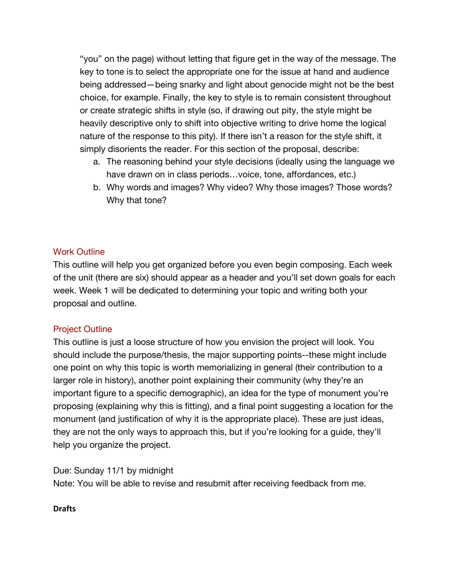"you" on the page) without letting that figure get in the way of the message. The key to tone is to select the appropriate one for the issue at hand and audience being addressed—being snarky and light about genocide might not be the best choice, for example. Finally, the key to style is to remain consistent throughout or create strategic shifts in style (so, if drawing out pity, the style might be heavily descriptive only to shift into objective writing to drive home the logical nature of the response to this pity). If there isn't a reason for the style shift, it simply disorients the reader. For this section of the proposal, describe:

- a. The reasoning behind your style decisions (ideally using the language we have drawn on in class periods...voice, tone, affordances, etc.)
- b. Why words and images? Why video? Why those images? Those words? Why that tone?

## Work Outline

This outline will help you get organized before you even begin composing. Each week of the unit (there are six) should appear as a header and you'll set down goals for each week. Week 1 will be dedicated to determining your topic and writing both your proposal and outline.

## Project Outline

This outline is just a loose structure of how you envision the project will look. You should include the purpose/thesis, the major supporting points--these might include one point on why this topic is worth memorializing in general (their contribution to a larger role in history), another point explaining their community (why they're an important figure to a specific demographic), an idea for the type of monument you're proposing (explaining why this is fitting), and a final point suggesting a location for the monument (and justification of why it is the appropriate place). These are just ideas, they are not the only ways to approach this, but if you're looking for a guide, they'll help you organize the project.

Due: Sunday 11/1 by midnight Note: You will be able to revise and resubmit after receiving feedback from me.

### **Drafts**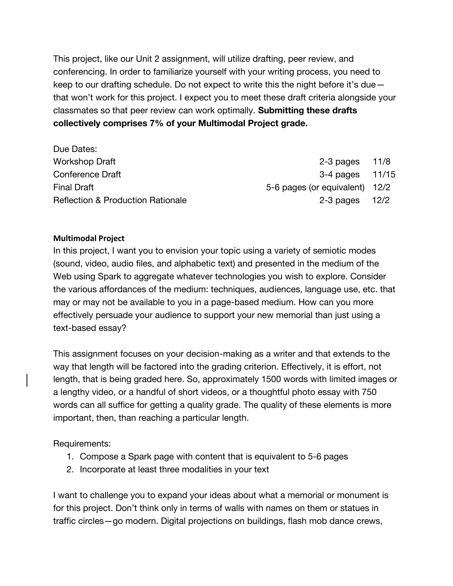This project, like our Unit 2 assignment, will utilize drafting, peer review, and conferencing. In order to familiarize yourself with your writing process, you need to keep to our drafting schedule. Do not expect to write this the night before it's due that won't work for this project. I expect you to meet these draft criteria alongside your classmates so that peer review can work optimally. **Submitting these drafts collectively comprises 7% of your Multimodal Project grade.**

| Due Dates:                                   |                                |  |
|----------------------------------------------|--------------------------------|--|
| <b>Workshop Draft</b>                        | $2-3$ pages $11/8$             |  |
| Conference Draft                             | $3-4$ pages $11/15$            |  |
| <b>Final Draft</b>                           | 5-6 pages (or equivalent) 12/2 |  |
| <b>Reflection &amp; Production Rationale</b> | $2-3$ pages $12/2$             |  |

#### **Multimodal Project**

In this project, I want you to envision your topic using a variety of semiotic modes (sound, video, audio files, and alphabetic text) and presented in the medium of the Web using Spark to aggregate whatever technologies you wish to explore. Consider the various affordances of the medium: techniques, audiences, language use, etc. that may or may not be available to you in a page-based medium. How can you more effectively persuade your audience to support your new memorial than just using a text-based essay?

This assignment focuses on your decision-making as a writer and that extends to the way that length will be factored into the grading criterion. Effectively, it is effort, not length, that is being graded here. So, approximately 1500 words with limited images or a lengthy video, or a handful of short videos, or a thoughtful photo essay with 750 words can all suffice for getting a quality grade. The quality of these elements is more important, then, than reaching a particular length.

Requirements:

- 1. Compose a Spark page with content that is equivalent to 5-6 pages
- 2. Incorporate at least three modalities in your text

I want to challenge you to expand your ideas about what a memorial or monument is for this project. Don't think only in terms of walls with names on them or statues in traffic circles—go modern. Digital projections on buildings, flash mob dance crews,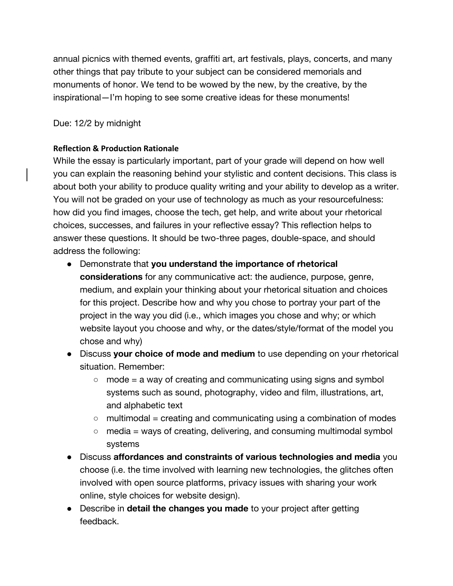annual picnics with themed events, graffiti art, art festivals, plays, concerts, and many other things that pay tribute to your subject can be considered memorials and monuments of honor. We tend to be wowed by the new, by the creative, by the inspirational—I'm hoping to see some creative ideas for these monuments!

## Due: 12/2 by midnight

## **Reflection & Production Rationale**

While the essay is particularly important, part of your grade will depend on how well you can explain the reasoning behind your stylistic and content decisions. This class is about both your ability to produce quality writing and your ability to develop as a writer. You will not be graded on your use of technology as much as your resourcefulness: how did you find images, choose the tech, get help, and write about your rhetorical choices, successes, and failures in your reflective essay? This reflection helps to answer these questions. It should be two-three pages, double-space, and should address the following:

- Demonstrate that **you understand the importance of rhetorical considerations** for any communicative act: the audience, purpose, genre, medium, and explain your thinking about your rhetorical situation and choices for this project. Describe how and why you chose to portray your part of the project in the way you did (i.e., which images you chose and why; or which website layout you choose and why, or the dates/style/format of the model you chose and why)
- Discuss **your choice of mode and medium** to use depending on your rhetorical situation. Remember:
	- $\circ$  mode = a way of creating and communicating using signs and symbol systems such as sound, photography, video and film, illustrations, art, and alphabetic text
	- $\circ$  multimodal = creating and communicating using a combination of modes
	- $\circ$  media = ways of creating, delivering, and consuming multimodal symbol systems
- Discuss **affordances and constraints of various technologies and media** you choose (i.e. the time involved with learning new technologies, the glitches often involved with open source platforms, privacy issues with sharing your work online, style choices for website design).
- Describe in **detail the changes you made** to your project after getting feedback.